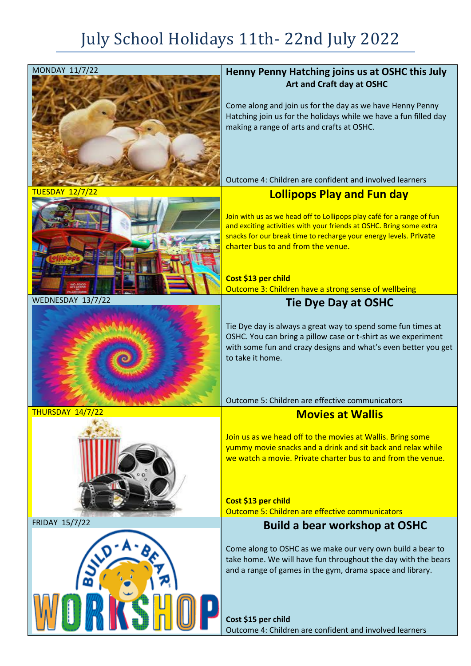## July School Holidays 11th- 22nd July 2022